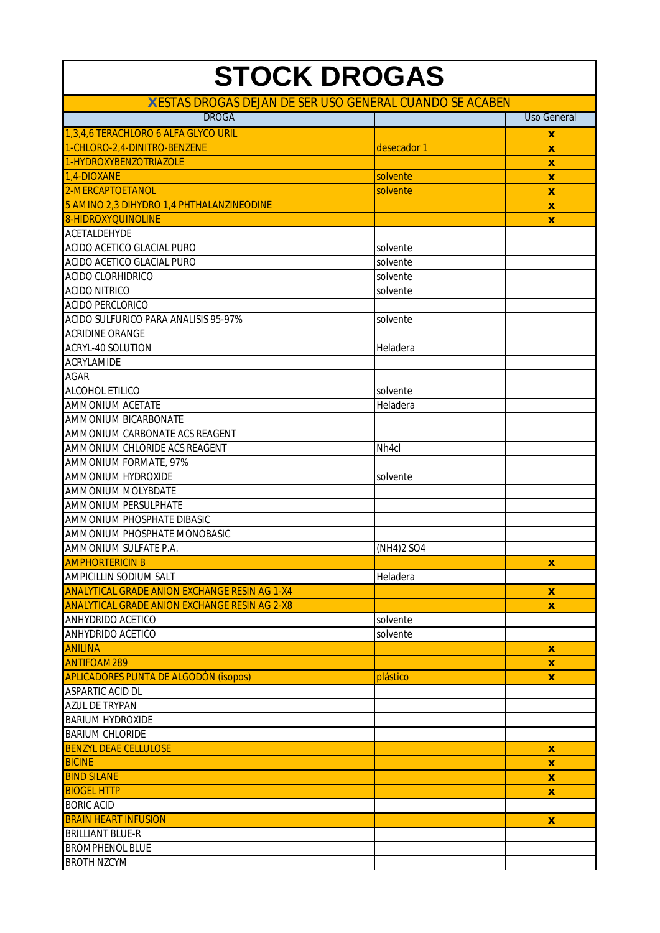| <b>STOCK DROGAS</b>                                      |                      |                    |
|----------------------------------------------------------|----------------------|--------------------|
| X ESTAS DROGAS DEJAN DE SER USO GENERAL CUANDO SE ACABEN |                      |                    |
| <b>DROGA</b>                                             |                      | <b>Uso General</b> |
| 1,3,4,6 TERACHLORO 6 ALFA GLYCO URIL                     |                      |                    |
| 1-CHLORO-2,4-DINITRO-BENZENE                             | desecador 1          | X                  |
| 1-HYDROXYBENZOTRIAZOLE                                   |                      | $\boldsymbol{x}$   |
| 1,4-DIOXANE                                              |                      | $\boldsymbol{x}$   |
| 2-MERCAPTOETANOL                                         | solvente<br>solvente | $\boldsymbol{x}$   |
|                                                          |                      | X                  |
| 5 AMINO 2,3 DIHYDRO 1,4 PHTHALANZINEODINE                |                      | X                  |
| <b>8-HIDROXYQUINOLINE</b>                                |                      | X                  |
| ACETALDEHYDE                                             |                      |                    |
| ACIDO ACETICO GLACIAL PURO                               | solvente             |                    |
| ACIDO ACETICO GLACIAL PURO                               | solvente             |                    |
| <b>ACIDO CLORHIDRICO</b>                                 | solvente             |                    |
| <b>ACIDO NITRICO</b>                                     | solvente             |                    |
| <b>ACIDO PERCLORICO</b>                                  |                      |                    |
| <b>ACIDO SULFURICO PARA ANALISIS 95-97%</b>              | solvente             |                    |
| <b>ACRIDINE ORANGE</b>                                   |                      |                    |
| ACRYL-40 SOLUTION                                        | Heladera             |                    |
| ACRYLAMIDE                                               |                      |                    |
| <b>AGAR</b>                                              |                      |                    |
| ALCOHOL ETILICO                                          | solvente             |                    |
| <b>AMMONIUM ACETATE</b>                                  | Heladera             |                    |
| <b>AMMONIUM BICARBONATE</b>                              |                      |                    |
| AMMONIUM CARBONATE ACS REAGENT                           |                      |                    |
| AMMONIUM CHLORIDE ACS REAGENT                            | Nh <sub>4cl</sub>    |                    |
| AMMONIUM FORMATE, 97%                                    |                      |                    |
| AMMONIUM HYDROXIDE                                       | solvente             |                    |
| <b>AMMONIUM MOLYBDATE</b>                                |                      |                    |
| <b>AMMONIUM PERSULPHATE</b>                              |                      |                    |
| AMMONIUM PHOSPHATE DIBASIC                               |                      |                    |
| AMMONIUM PHOSPHATE MONOBASIC                             |                      |                    |
| AMMONIUM SULFATE P.A.                                    | (NH4)2 SO4           |                    |
| <b>AMPHORTERICIN B</b>                                   |                      | $\mathbf{x}$       |
| <b>AMPICILLIN SODIUM SALT</b>                            | Heladera             |                    |
| <b>ANALYTICAL GRADE ANION EXCHANGE RESIN AG 1-X4</b>     |                      | X                  |
| <b>ANALYTICAL GRADE ANION EXCHANGE RESIN AG 2-X8</b>     |                      |                    |
| ANHYDRIDO ACETICO                                        |                      | X                  |
|                                                          | solvente             |                    |
| ANHYDRIDO ACETICO                                        | solvente             |                    |
| <b>ANILINA</b>                                           |                      | X                  |
| <b>ANTIFOAM289</b>                                       |                      | $\mathbf{x}$       |
| <b>APLICADORES PUNTA DE ALGODÓN (isopos)</b>             | plástico             | $\mathbf{x}$       |
| ASPARTIC ACID DL                                         |                      |                    |
| <b>AZUL DE TRYPAN</b>                                    |                      |                    |
| <b>BARIUM HYDROXIDE</b>                                  |                      |                    |
| <b>BARIUM CHLORIDE</b>                                   |                      |                    |
| <b>BENZYL DEAE CELLULOSE</b>                             |                      | $\mathbf{x}$       |
| <b>BICINE</b>                                            |                      | X                  |
| <b>BIND SILANE</b>                                       |                      | X                  |
| <b>BIOGEL HTTP</b>                                       |                      | X                  |
| <b>BORIC ACID</b>                                        |                      |                    |
| <b>BRAIN HEART INFUSION</b>                              |                      | $\mathbf{x}$       |
| <b>BRILLIANT BLUE-R</b>                                  |                      |                    |
| <b>BROMPHENOL BLUE</b>                                   |                      |                    |
| <b>BROTH NZCYM</b>                                       |                      |                    |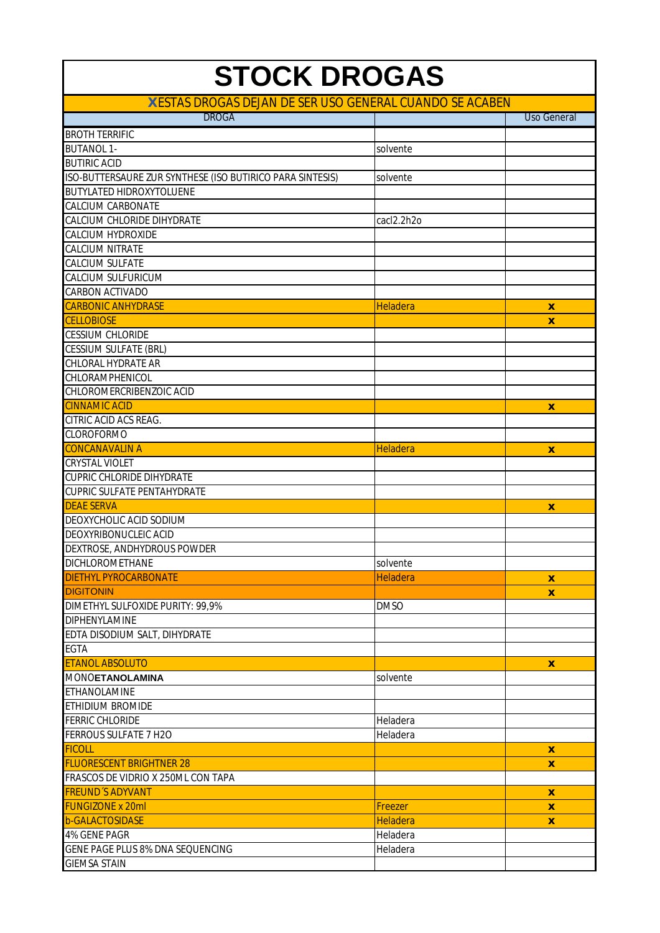| <b>STOCK DROGAS</b>                                       |                 |                    |  |
|-----------------------------------------------------------|-----------------|--------------------|--|
| X ESTAS DROGAS DEJAN DE SER USO GENERAL CUANDO SE ACABEN  |                 |                    |  |
| <b>DROGA</b>                                              |                 | <b>Uso General</b> |  |
| <b>BROTH TERRIFIC</b>                                     |                 |                    |  |
| <b>BUTANOL 1-</b>                                         | solvente        |                    |  |
| <b>BUTIRIC ACID</b>                                       |                 |                    |  |
| ISO-BUTTERSAURE ZUR SYNTHESE (ISO BUTIRICO PARA SINTESIS) | solvente        |                    |  |
| <b>BUTYLATED HIDROXYTOLUENE</b>                           |                 |                    |  |
| <b>CALCIUM CARBONATE</b>                                  |                 |                    |  |
| CALCIUM CHLORIDE DIHYDRATE                                | cacl2.2h2o      |                    |  |
| <b>CALCIUM HYDROXIDE</b>                                  |                 |                    |  |
| <b>CALCIUM NITRATE</b>                                    |                 |                    |  |
| <b>CALCIUM SULFATE</b>                                    |                 |                    |  |
| <b>CALCIUM SULFURICUM</b>                                 |                 |                    |  |
| <b>CARBON ACTIVADO</b>                                    |                 |                    |  |
| <b>CARBONIC ANHYDRASE</b>                                 | <b>Heladera</b> | x                  |  |
| <b>CELLOBIOSE</b>                                         |                 | X                  |  |
| <b>CESSIUM CHLORIDE</b>                                   |                 |                    |  |
| <b>CESSIUM SULFATE (BRL)</b>                              |                 |                    |  |
| <b>CHLORAL HYDRATE AR</b>                                 |                 |                    |  |
| CHLORAMPHENICOL                                           |                 |                    |  |
| CHLOROMERCRIBENZOIC ACID                                  |                 |                    |  |
| <b>CINNAMIC ACID</b>                                      |                 | $\mathbf{x}$       |  |
| CITRIC ACID ACS REAG.                                     |                 |                    |  |
| <b>CLOROFORMO</b>                                         |                 |                    |  |
| <b>CONCANAVALIN A</b>                                     | Heladera        | X                  |  |
| <b>CRYSTAL VIOLET</b>                                     |                 |                    |  |
| <b>CUPRIC CHLORIDE DIHYDRATE</b>                          |                 |                    |  |
| <b>CUPRIC SULFATE PENTAHYDRATE</b>                        |                 |                    |  |
| <b>DEAE SERVA</b>                                         |                 | $\mathbf{x}$       |  |
| DEOXYCHOLIC ACID SODIUM                                   |                 |                    |  |
| DEOXYRIBONUCLEIC ACID                                     |                 |                    |  |
| DEXTROSE, ANDHYDROUS POWDER                               |                 |                    |  |
| <b>DICHLOROMETHANE</b>                                    | solvente        |                    |  |
| <b>DIETHYL PYROCARBONATE</b>                              | <b>Heladera</b> | $\mathbf{x}$       |  |
| <b>DIGITONIN</b>                                          |                 | X                  |  |
| DIMETHYL SULFOXIDE PURITY: 99,9%                          | <b>DMSO</b>     |                    |  |
| <b>DIPHENYLAMINE</b>                                      |                 |                    |  |
| EDTA DISODIUM SALT, DIHYDRATE                             |                 |                    |  |
| <b>EGTA</b>                                               |                 |                    |  |
| <b>ETANOL ABSOLUTO</b>                                    |                 | X                  |  |
| <b>MONOETANOLAMINA</b>                                    | solvente        |                    |  |
| ETHANOLAMINE                                              |                 |                    |  |
| ETHIDIUM BROMIDE                                          |                 |                    |  |
| <b>FERRIC CHLORIDE</b>                                    | Heladera        |                    |  |
| FERROUS SULFATE 7 H2O                                     | Heladera        |                    |  |
| <b>FICOLL</b>                                             |                 | $\mathbf{x}$       |  |
| <b>FLUORESCENT BRIGHTNER 28</b>                           |                 | $\boldsymbol{x}$   |  |
| FRASCOS DE VIDRIO X 250ML CON TAPA                        |                 |                    |  |
| <b>FREUND'S ADYVANT</b>                                   |                 | $\mathbf{x}$       |  |
| <b>FUNGIZONE x 20ml</b>                                   | Freezer         | X                  |  |
| <b>b-GALACTOSIDASE</b>                                    | <b>Heladera</b> | X                  |  |
| 4% GENE PAGR                                              | Heladera        |                    |  |
| GENE PAGE PLUS 8% DNA SEQUENCING                          | Heladera        |                    |  |
| <b>GIEMSA STAIN</b>                                       |                 |                    |  |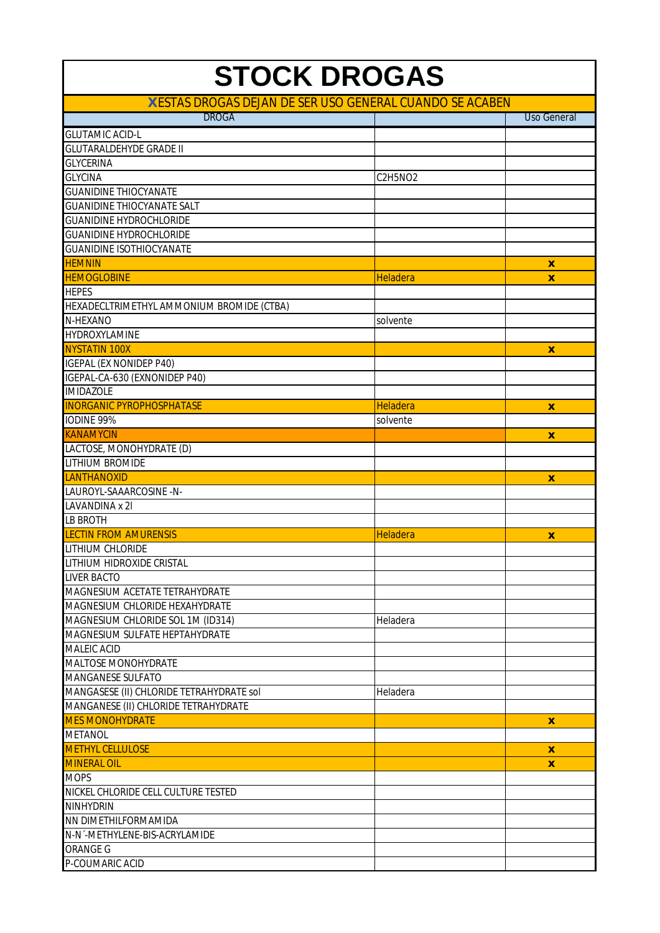| <b>STOCK DROGAS</b>                                      |                 |                    |
|----------------------------------------------------------|-----------------|--------------------|
| X ESTAS DROGAS DEJAN DE SER USO GENERAL CUANDO SE ACABEN |                 |                    |
| <b>DROGA</b>                                             |                 | <b>Uso General</b> |
| <b>GLUTAMIC ACID-L</b>                                   |                 |                    |
| <b>GLUTARALDEHYDE GRADE II</b>                           |                 |                    |
| <b>GLYCERINA</b>                                         |                 |                    |
| <b>GLYCINA</b>                                           | C2H5NO2         |                    |
| <b>GUANIDINE THIOCYANATE</b>                             |                 |                    |
| <b>GUANIDINE THIOCYANATE SALT</b>                        |                 |                    |
| <b>GUANIDINE HYDROCHLORIDE</b>                           |                 |                    |
| <b>GUANIDINE HYDROCHLORIDE</b>                           |                 |                    |
| <b>GUANIDINE ISOTHIOCYANATE</b>                          |                 |                    |
| <b>HEMNIN</b>                                            |                 | X                  |
| <b>HEMOGLOBINE</b>                                       | Heladera        | X                  |
| <b>HEPES</b>                                             |                 |                    |
| HEXADECLTRIMETHYL AMMONIUM BROMIDE (CTBA)                |                 |                    |
| N-HEXANO                                                 | solvente        |                    |
| HYDROXYLAMINE                                            |                 |                    |
| NYSTATIN 100X                                            |                 | X                  |
| <b>IGEPAL (EX NONIDEP P40)</b>                           |                 |                    |
| IGEPAL-CA-630 (EXNONIDEP P40)                            |                 |                    |
| <b>IMIDAZOLE</b>                                         |                 |                    |
| <b>INORGANIC PYROPHOSPHATASE</b>                         | <b>Heladera</b> |                    |
|                                                          |                 | $\mathbf{x}$       |
| IODINE 99%                                               | solvente        |                    |
| <b>KANAMYCIN</b>                                         |                 | X                  |
| LACTOSE, MONOHYDRATE (D)                                 |                 |                    |
| <b>LITHIUM BROMIDE</b>                                   |                 |                    |
| <b>LANTHANOXID</b>                                       |                 | $\mathbf{x}$       |
| LAUROYL-SAAARCOSINE -N-                                  |                 |                    |
| LAVANDINA x 2I                                           |                 |                    |
| <b>LB BROTH</b>                                          |                 |                    |
| <b>LECTIN FROM AMURENSIS</b>                             | Heladera        | X                  |
| LITHIUM CHLORIDE                                         |                 |                    |
| LITHIUM HIDROXIDE CRISTAL                                |                 |                    |
| <b>LIVER BACTO</b>                                       |                 |                    |
| MAGNESIUM ACETATE TETRAHYDRATE                           |                 |                    |
| MAGNESIUM CHLORIDE HEXAHYDRATE                           |                 |                    |
| MAGNESIUM CHLORIDE SOL 1M (ID314)                        | Heladera        |                    |
| MAGNESIUM SULFATE HEPTAHYDRATE                           |                 |                    |
| <b>MALEIC ACID</b>                                       |                 |                    |
| <b>MALTOSE MONOHYDRATE</b>                               |                 |                    |
| <b>MANGANESE SULFATO</b>                                 |                 |                    |
| MANGASESE (II) CHLORIDE TETRAHYDRATE sol                 | Heladera        |                    |
| MANGANESE (II) CHLORIDE TETRAHYDRATE                     |                 |                    |
| <b>MES MONOHYDRATE</b>                                   |                 | $\mathbf{x}$       |
| <b>METANOL</b>                                           |                 |                    |
| <b>METHYL CELLULOSE</b>                                  |                 | X                  |
| <b>MINERAL OIL</b>                                       |                 | $\mathbf{x}$       |
| <b>MOPS</b>                                              |                 |                    |
| NICKEL CHLORIDE CELL CULTURE TESTED                      |                 |                    |
| <b>NINHYDRIN</b>                                         |                 |                    |
| NN DIMETHILFORMAMIDA                                     |                 |                    |
| N-N-METHYLENE-BIS-ACRYLAMIDE                             |                 |                    |
| <b>ORANGE G</b>                                          |                 |                    |
| P-COUMARIC ACID                                          |                 |                    |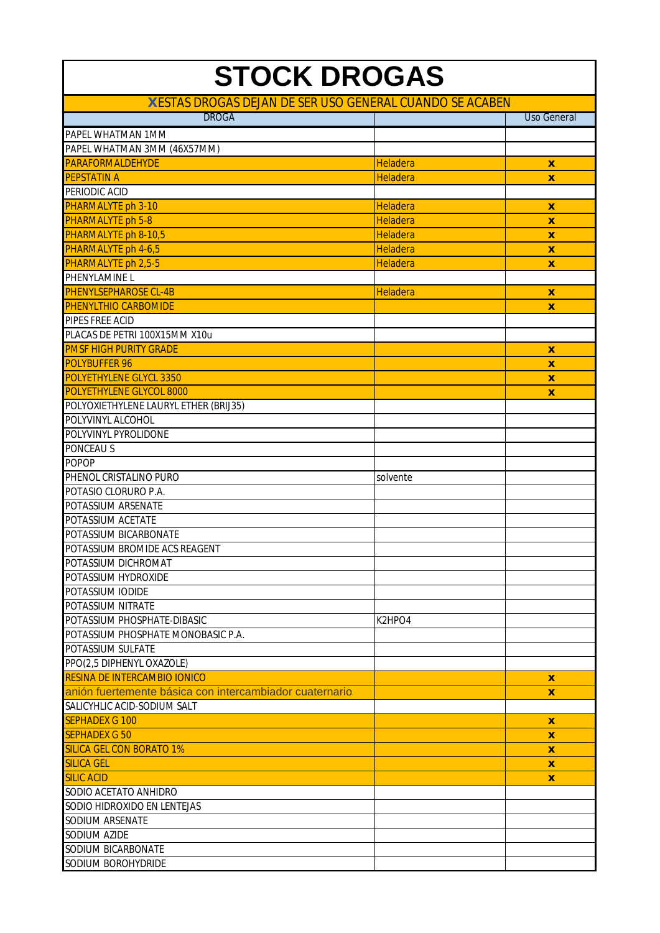| <b>STOCK DROGAS</b>                                      |                 |                           |
|----------------------------------------------------------|-----------------|---------------------------|
| X ESTAS DROGAS DEJAN DE SER USO GENERAL CUANDO SE ACABEN |                 |                           |
| <b>DROGA</b>                                             |                 | <b>Uso General</b>        |
| PAPEL WHATMAN 1MM                                        |                 |                           |
| PAPEL WHATMAN 3MM (46X57MM)                              |                 |                           |
| <b>PARAFORMALDEHYDE</b>                                  | Heladera        | $\boldsymbol{x}$          |
| <b>PEPSTATIN A</b>                                       | <b>Heladera</b> | $\mathbf{x}$              |
| PERIODIC ACID                                            |                 |                           |
| PHARMALYTE ph 3-10                                       | <b>Heladera</b> | X                         |
| <b>PHARMALYTE ph 5-8</b>                                 | Heladera        | $\boldsymbol{x}$          |
| PHARMALYTE ph 8-10,5                                     | <b>Heladera</b> | $\pmb{\mathsf{X}}$        |
| PHARMALYTE ph 4-6,5                                      | <b>Heladera</b> | $\boldsymbol{\mathsf{x}}$ |
| PHARMALYTE ph 2,5-5                                      | Heladera        | X                         |
| PHENYLAMINE L                                            |                 |                           |
| <b>PHENYLSEPHAROSE CL-4B</b>                             | Heladera        | X                         |
| <b>PHENYLTHIO CARBOMIDE</b>                              |                 | $\boldsymbol{x}$          |
| PIPES FREE ACID                                          |                 |                           |
| PLACAS DE PETRI 100X15MM X10u                            |                 |                           |
| <b>PMSF HIGH PURITY GRADE</b>                            |                 | $\boldsymbol{x}$          |
| POLYBUFFER 96                                            |                 | $\mathbf{x}$              |
| POLYETHYLENE GLYCL 3350                                  |                 | $\boldsymbol{x}$          |
| POLYETHYLENE GLYCOL 8000                                 |                 | X                         |
| POLYOXIETHYLENE LAURYL ETHER (BRIJ35)                    |                 |                           |
| POLYVINYL ALCOHOL                                        |                 |                           |
| POLYVINYL PYROLIDONE                                     |                 |                           |
| PONCEAU <sub>S</sub>                                     |                 |                           |
| <b>POPOP</b>                                             |                 |                           |
| PHENOL CRISTALINO PURO                                   | solvente        |                           |
| POTASIO CLORURO P.A.                                     |                 |                           |
| POTASSIUM ARSENATE                                       |                 |                           |
| POTASSIUM ACETATE                                        |                 |                           |
| POTASSIUM BICARBONATE                                    |                 |                           |
| POTASSIUM BROMIDE ACS REAGENT                            |                 |                           |
| POTASSIUM DICHROMAT                                      |                 |                           |
| POTASSIUM HYDROXIDE                                      |                 |                           |
| POTASSIUM IODIDE                                         |                 |                           |
| POTASSIUM NITRATE                                        |                 |                           |
| POTASSIUM PHOSPHATE-DIBASIC                              | K2HPO4          |                           |
| POTASSIUM PHOSPHATE MONOBASIC P.A.                       |                 |                           |
| POTASSIUM SULFATE                                        |                 |                           |
| PPO(2,5 DIPHENYL OXAZOLE)                                |                 |                           |
| <b>RESINA DE INTERCAMBIO IONICO</b>                      |                 | $\mathbf x$               |
| anión fuertemente básica con intercambiador cuaternario  |                 | X                         |
| SALICYHLIC ACID-SODIUM SALT                              |                 |                           |
| <b>SEPHADEX G 100</b>                                    |                 | $\boldsymbol{x}$          |
| <b>SEPHADEX G 50</b>                                     |                 | X                         |
| <b>SILICA GEL CON BORATO 1%</b>                          |                 | $\mathbf x$               |
| <b>SILICA GEL</b>                                        |                 | X                         |
| <b>SILIC ACID</b>                                        |                 | X                         |
| SODIO ACETATO ANHIDRO                                    |                 |                           |
| SODIO HIDROXIDO EN LENTEJAS                              |                 |                           |
| SODIUM ARSENATE                                          |                 |                           |
| SODIUM AZIDE                                             |                 |                           |
| SODIUM BICARBONATE                                       |                 |                           |
| SODIUM BOROHYDRIDE                                       |                 |                           |